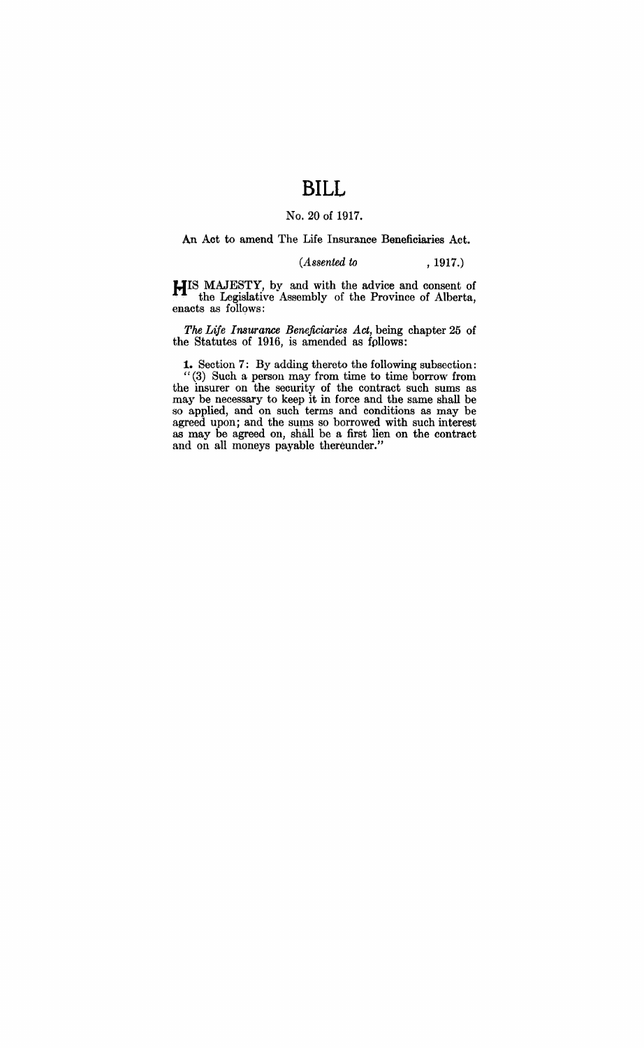# **BILL**

### No. 20 of 1917.

#### An Act to amend The Life Insurance Beneficiaries Act.

#### *(Assented to* , 1917.)

HIS MAJESTY, by and with the advice and consent of the Legislative Assembly of the Province of Alberta, enacts as follows:

*The Life Insurance Beneficiaries Act,* being chapter 25 of the Statutes of 1916, is amended as fpllows:

**1.** Section 7: By adding thereto the following subsection: "(3) Such a person may from time to time borrow from the insurer on the security of the contract such sums as may be necessary to keep it in force and the same shall be so applied, and on such terms and conditions as may be agreed upon; and the sums so borrowed with such interest as may be agreed on, shall be a first lien on the contract and on all moneys payable thereunder."